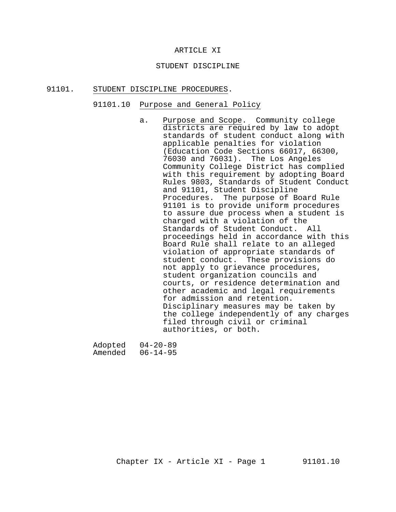#### ARTICLE XI

#### STUDENT DISCIPLINE

#### 91101. STUDENT DISCIPLINE PROCEDURES.

#### 91101.10 Purpose and General Policy

a. Purpose and Scope. Community college districts are required by law to adopt standards of student conduct along with applicable penalties for violation (Education Code Sections 66017, 66300, 76030 and 76031). The Los Angeles Community College District has complied with this requirement by adopting Board Rules 9803, Standards of Student Conduct and 91101, Student Discipline Procedures. The purpose of Board Rule 91101 is to provide uniform procedures to assure due process when a student is charged with a violation of the Standards of Student Conduct. All proceedings held in accordance with this Board Rule shall relate to an alleged violation of appropriate standards of student conduct. These provisions do not apply to grievance procedures, student organization councils and courts, or residence determination and other academic and legal requirements for admission and retention. Disciplinary measures may be taken by the college independently of any charges filed through civil or criminal authorities, or both.

Adopted 04-20-89 Amended 06-14-95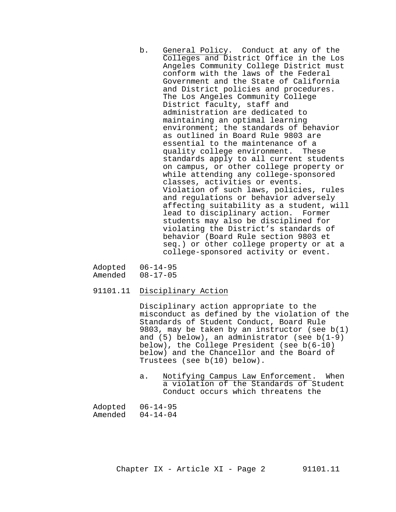- b. General Policy. Conduct at any of the Colleges and District Office in the Los Angeles Community College District must conform with the laws of the Federal Government and the State of California and District policies and procedures. The Los Angeles Community College District faculty, staff and administration are dedicated to maintaining an optimal learning environment; the standards of behavior as outlined in Board Rule 9803 are essential to the maintenance of a quality college environment. These standards apply to all current students on campus, or other college property or while attending any college-sponsored classes, activities or events. Violation of such laws, policies, rules and regulations or behavior adversely affecting suitability as a student, will lead to disciplinary action. Former students may also be disciplined for violating the District's standards of behavior (Board Rule section 9803 et seq.) or other college property or at a college-sponsored activity or event.
- Adopted 06-14-95<br>Amended 08-17-05  $08-17-05$
- 91101.11 Disciplinary Action

Disciplinary action appropriate to the misconduct as defined by the violation of the Standards of Student Conduct, Board Rule 9803, may be taken by an instructor (see b(1) and (5) below), an administrator (see b(1-9) below), the College President (see b(6-10) below) and the Chancellor and the Board of Trustees (see b(10) below).

a. Notifying Campus Law Enforcement. When a violation of the Standards of Student Conduct occurs which threatens the

| Adopted | $06 - 14 - 95$ |
|---------|----------------|
| Amended | $04 - 14 - 04$ |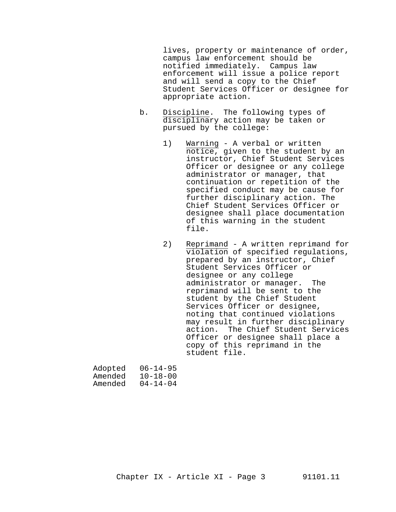lives, property or maintenance of order, campus law enforcement should be notified immediately. Campus law enforcement will issue a police report and will send a copy to the Chief Student Services Officer or designee for appropriate action.

- b. Discipline. The following types of disciplinary action may be taken or pursued by the college:
	- 1) Warning A verbal or written notice, given to the student by an instructor, Chief Student Services Officer or designee or any college administrator or manager, that continuation or repetition of the specified conduct may be cause for further disciplinary action. The Chief Student Services Officer or designee shall place documentation of this warning in the student file.
	- 2) Reprimand A written reprimand for violation of specified regulations, prepared by an instructor, Chief Student Services Officer or designee or any college administrator or manager. The reprimand will be sent to the student by the Chief Student Services Officer or designee, noting that continued violations may result in further disciplinary action. The Chief Student Services Officer or designee shall place a copy of this reprimand in the student file.

| Adopted | $06 - 14 - 95$ |
|---------|----------------|
| Amended | $10 - 18 - 00$ |
| Amended | $04 - 14 - 04$ |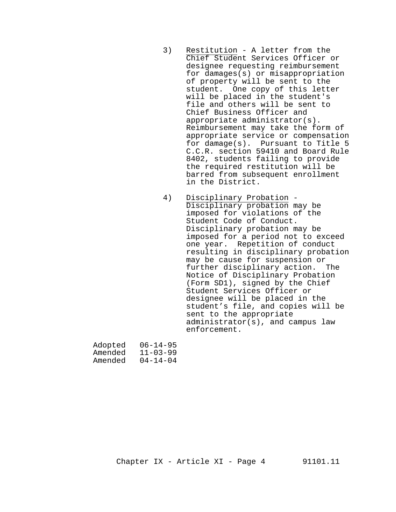- 3) Restitution A letter from the Chief Student Services Officer or designee requesting reimbursement for damages(s) or misappropriation of property will be sent to the student. One copy of this letter will be placed in the student's file and others will be sent to Chief Business Officer and appropriate administrator(s). Reimbursement may take the form of appropriate service or compensation for damage(s). Pursuant to Title 5 C.C.R. section 59410 and Board Rule 8402, students failing to provide the required restitution will be barred from subsequent enrollment in the District.
- 4) Disciplinary Probation Disciplinary probation may be imposed for violations of the Student Code of Conduct. Disciplinary probation may be imposed for a period not to exceed one year. Repetition of conduct resulting in disciplinary probation may be cause for suspension or further disciplinary action. The Notice of Disciplinary Probation (Form SD1), signed by the Chief Student Services Officer or designee will be placed in the student's file, and copies will be sent to the appropriate administrator(s), and campus law enforcement.

| Adopted | $06 - 14 - 95$ |
|---------|----------------|
| Amended | $11 - 03 - 99$ |
| Amended | $04 - 14 - 04$ |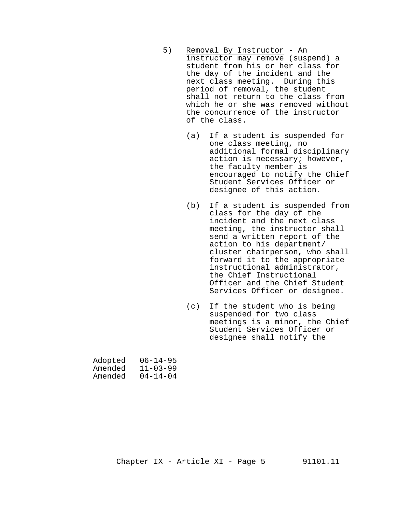- 5) Removal By Instructor An instructor may remove (suspend) a student from his or her class for the day of the incident and the next class meeting. During this period of removal, the student shall not return to the class from which he or she was removed without the concurrence of the instructor of the class.
	- (a) If a student is suspended for one class meeting, no additional formal disciplinary action is necessary; however, the faculty member is encouraged to notify the Chief Student Services Officer or designee of this action.
	- (b) If a student is suspended from class for the day of the incident and the next class meeting, the instructor shall send a written report of the action to his department/ cluster chairperson, who shall forward it to the appropriate instructional administrator, the Chief Instructional Officer and the Chief Student Services Officer or designee.
	- (c) If the student who is being suspended for two class meetings is a minor, the Chief Student Services Officer or designee shall notify the

| Adopted | $06 - 14 - 95$ |
|---------|----------------|
| Amended | $11 - 03 - 99$ |
| Amended | $04 - 14 - 04$ |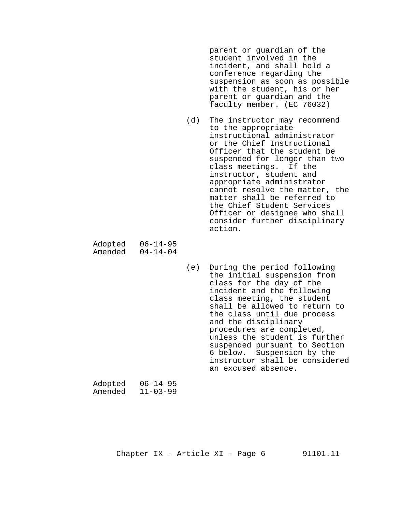parent or guardian of the student involved in the incident, and shall hold a conference regarding the suspension as soon as possible with the student, his or her parent or guardian and the faculty member. (EC 76032)

(d) The instructor may recommend to the appropriate instructional administrator or the Chief Instructional Officer that the student be suspended for longer than two class meetings. If the instructor, student and appropriate administrator cannot resolve the matter, the matter shall be referred to the Chief Student Services Officer or designee who shall consider further disciplinary action.

Adopted 06-14-95<br>Amended 04-14-04 Amended

> (e) During the period following the initial suspension from class for the day of the incident and the following class meeting, the student shall be allowed to return to the class until due process and the disciplinary procedures are completed, unless the student is further suspended pursuant to Section 6 below. Suspension by the instructor shall be considered an excused absence.

| Adopted | $06 - 14 - 95$ |
|---------|----------------|
| Amended | $11 - 03 - 99$ |

Chapter  $IX - Article XI - Page 6$  91101.11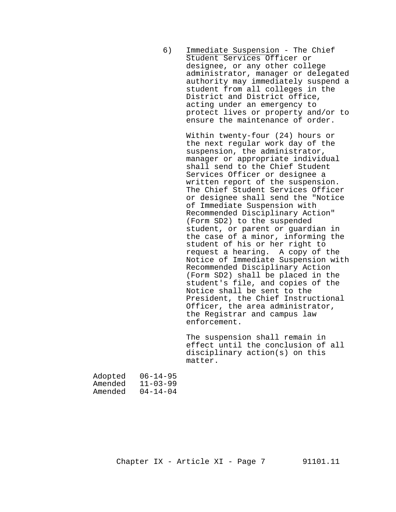6) Immediate Suspension - The Chief Student Services Officer or designee, or any other college administrator, manager or delegated authority may immediately suspend a student from all colleges in the District and District office, acting under an emergency to protect lives or property and/or to ensure the maintenance of order.

> Within twenty-four (24) hours or the next regular work day of the suspension, the administrator, manager or appropriate individual shall send to the Chief Student Services Officer or designee a written report of the suspension. The Chief Student Services Officer or designee shall send the "Notice of Immediate Suspension with Recommended Disciplinary Action" (Form SD2) to the suspended student, or parent or guardian in the case of a minor, informing the student of his or her right to request a hearing. A copy of the Notice of Immediate Suspension with Recommended Disciplinary Action (Form SD2) shall be placed in the student's file, and copies of the Notice shall be sent to the President, the Chief Instructional Officer, the area administrator, the Registrar and campus law enforcement.

The suspension shall remain in effect until the conclusion of all disciplinary action(s) on this matter.

| Adopted | $06 - 14 - 95$ |
|---------|----------------|
| Amended | $11 - 03 - 99$ |
| Amended | $04 - 14 - 04$ |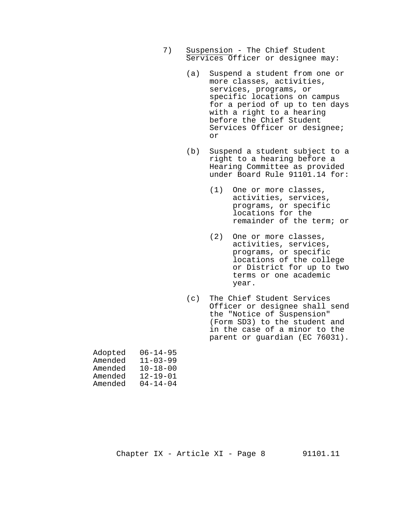- 7) Suspension The Chief Student Services Officer or designee may:
	- (a) Suspend a student from one or more classes, activities, services, programs, or specific locations on campus for a period of up to ten days with a right to a hearing before the Chief Student Services Officer or designee; or
	- (b) Suspend a student subject to a right to a hearing before a Hearing Committee as provided under Board Rule 91101.14 for:
		- (1) One or more classes, activities, services, programs, or specific locations for the remainder of the term; or
		- (2) One or more classes, activities, services, programs, or specific locations of the college or District for up to two terms or one academic year.
	- (c) The Chief Student Services Officer or designee shall send the "Notice of Suspension" (Form SD3) to the student and in the case of a minor to the parent or guardian (EC 76031).

| $06 - 14 - 95$ |
|----------------|
| $11 - 03 - 99$ |
| $10 - 18 - 00$ |
| $12 - 19 - 01$ |
| $04 - 14 - 04$ |
|                |

Chapter  $IX - Article XI - Page 8$  91101.11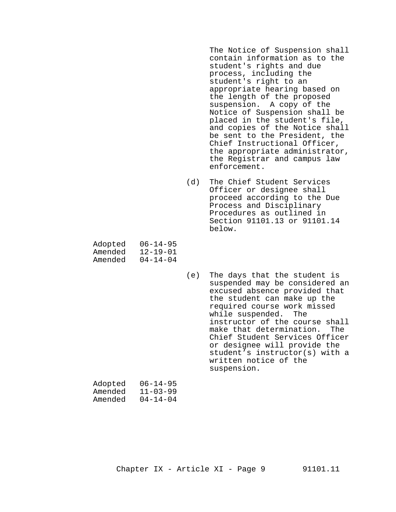The Notice of Suspension shall contain information as to the student's rights and due process, including the student's right to an appropriate hearing based on the length of the proposed suspension. A copy of the Notice of Suspension shall be placed in the student's file, and copies of the Notice shall be sent to the President, the Chief Instructional Officer, the appropriate administrator, the Registrar and campus law enforcement.

(d) The Chief Student Services Officer or designee shall proceed according to the Due Process and Disciplinary Procedures as outlined in Section 91101.13 or 91101.14 below.

| Adopted | $06 - 14 - 95$ |
|---------|----------------|
| Amended | $12 - 19 - 01$ |
| Amended | $04 - 14 - 04$ |

(e) The days that the student is suspended may be considered an excused absence provided that the student can make up the required course work missed while suspended. The instructor of the course shall make that determination. The Chief Student Services Officer or designee will provide the student's instructor(s) with a written notice of the suspension.

| Adopted | $06 - 14 - 95$ |
|---------|----------------|
| Amended | $11 - 03 - 99$ |
| Amended | $04 - 14 - 04$ |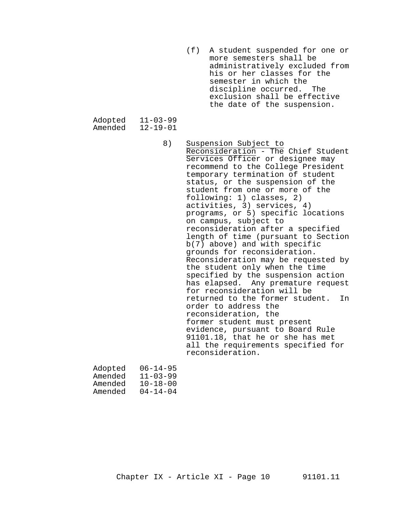(f) A student suspended for one or more semesters shall be administratively excluded from his or her classes for the semester in which the<br>discipline occurred. The discipline occurred. exclusion shall be effective the date of the suspension.

Adopted 11-03-99<br>Amended 12-19-01 Amended

> 8) Suspension Subject to Reconsideration - The Chief Student Services Officer or designee may recommend to the College President temporary termination of student status, or the suspension of the student from one or more of the following: 1) classes, 2) activities, 3) services, 4) programs, or 5) specific locations on campus, subject to reconsideration after a specified length of time (pursuant to Section b(7) above) and with specific grounds for reconsideration. Reconsideration may be requested by the student only when the time specified by the suspension action has elapsed. Any premature request for reconsideration will be returned to the former student. In order to address the reconsideration, the former student must present evidence, pursuant to Board Rule 91101.18, that he or she has met all the requirements specified for reconsideration.

| Adopted | $06 - 14 - 95$ |
|---------|----------------|
| Amended | $11 - 03 - 99$ |
| Amended | $10 - 18 - 00$ |
| Amended | $04 - 14 - 04$ |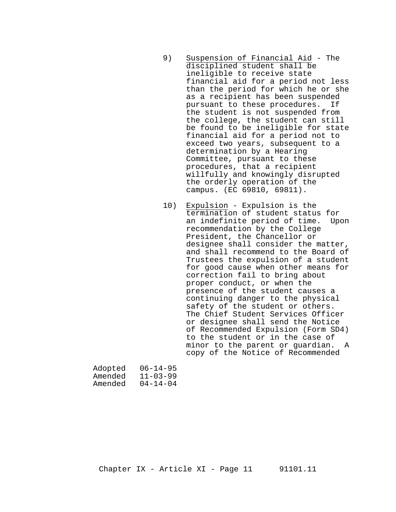- 9) Suspension of Financial Aid The disciplined student shall be ineligible to receive state financial aid for a period not less than the period for which he or she as a recipient has been suspended pursuant to these procedures. If the student is not suspended from the college, the student can still be found to be ineligible for state financial aid for a period not to exceed two years, subsequent to a determination by a Hearing Committee, pursuant to these procedures, that a recipient willfully and knowingly disrupted the orderly operation of the campus. (EC 69810, 69811).
- 10) Expulsion Expulsion is the termination of student status for an indefinite period of time. Upon recommendation by the College President, the Chancellor or designee shall consider the matter, and shall recommend to the Board of Trustees the expulsion of a student for good cause when other means for correction fail to bring about proper conduct, or when the presence of the student causes a continuing danger to the physical safety of the student or others. The Chief Student Services Officer or designee shall send the Notice of Recommended Expulsion (Form SD4) to the student or in the case of minor to the parent or guardian. A copy of the Notice of Recommended

| Adopted | $06 - 14 - 95$ |
|---------|----------------|
| Amended | $11 - 03 - 99$ |
| Amended | $04 - 14 - 04$ |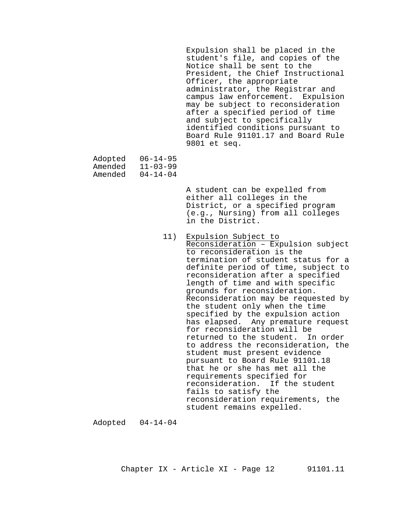Expulsion shall be placed in the student's file, and copies of the Notice shall be sent to the President, the Chief Instructional Officer, the appropriate administrator, the Registrar and campus law enforcement. Expulsion may be subject to reconsideration after a specified period of time and subject to specifically identified conditions pursuant to Board Rule 91101.17 and Board Rule 9801 et seq.

- Adopted 06-14-95<br>Amended 11-03-99 Amended
- Amended 04-14-04

A student can be expelled from either all colleges in the District, or a specified program (e.g., Nursing) from all colleges in the District.

 11) Expulsion Subject to Reconsideration – Expulsion subject to reconsideration is the termination of student status for a definite period of time, subject to reconsideration after a specified length of time and with specific grounds for reconsideration. Reconsideration may be requested by the student only when the time specified by the expulsion action has elapsed. Any premature request for reconsideration will be returned to the student. In order to address the reconsideration, the student must present evidence pursuant to Board Rule 91101.18 that he or she has met all the requirements specified for reconsideration. If the student fails to satisfy the reconsideration requirements, the student remains expelled.

Adopted 04-14-04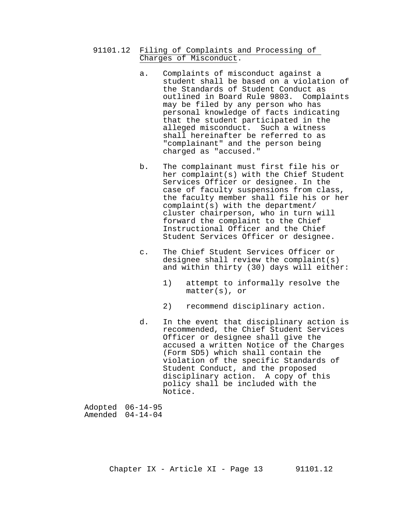- 91101.12 Filing of Complaints and Processing of Charges of Misconduct.
	- a. Complaints of misconduct against a student shall be based on a violation of the Standards of Student Conduct as outlined in Board Rule 9803. Complaints may be filed by any person who has personal knowledge of facts indicating that the student participated in the alleged misconduct. Such a witness shall hereinafter be referred to as "complainant" and the person being charged as "accused."
	- b. The complainant must first file his or her complaint(s) with the Chief Student Services Officer or designee. In the case of faculty suspensions from class, the faculty member shall file his or her complaint(s) with the department/ cluster chairperson, who in turn will forward the complaint to the Chief Instructional Officer and the Chief Student Services Officer or designee.
	- c. The Chief Student Services Officer or designee shall review the complaint(s) and within thirty (30) days will either:
		- 1) attempt to informally resolve the matter(s), or
		- 2) recommend disciplinary action.
	- d. In the event that disciplinary action is recommended, the Chief Student Services Officer or designee shall give the accused a written Notice of the Charges (Form SD5) which shall contain the violation of the specific Standards of Student Conduct, and the proposed disciplinary action. A copy of this policy shall be included with the Notice.

| Adopted 06-14-95   |
|--------------------|
| Amended $04-14-04$ |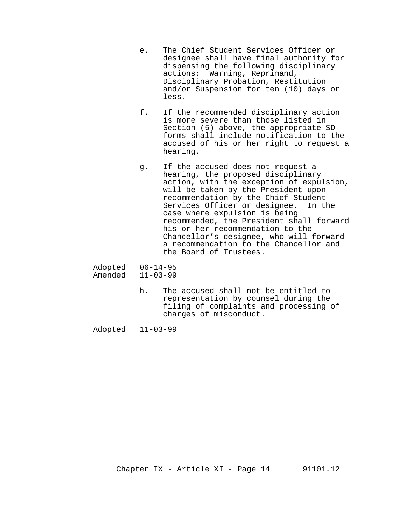- e. The Chief Student Services Officer or designee shall have final authority for dispensing the following disciplinary actions: Warning, Reprimand, Disciplinary Probation, Restitution and/or Suspension for ten (10) days or less.
- f. If the recommended disciplinary action is more severe than those listed in Section (5) above, the appropriate SD forms shall include notification to the accused of his or her right to request a hearing.
- g. If the accused does not request a hearing, the proposed disciplinary action, with the exception of expulsion, will be taken by the President upon recommendation by the Chief Student<br>Services Officer or designee. In the Services Officer or designee. case where expulsion is being recommended, the President shall forward his or her recommendation to the Chancellor's designee, who will forward a recommendation to the Chancellor and the Board of Trustees.
- Adopted 06-14-95<br>Amended 11-03-99  $11-03-99$ 
	- h. The accused shall not be entitled to representation by counsel during the filing of complaints and processing of charges of misconduct.

Adopted 11-03-99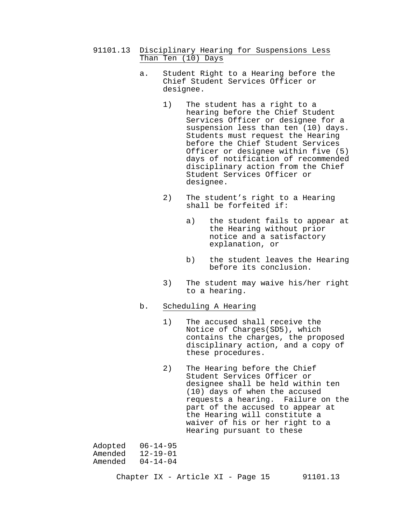- 91101.13 Disciplinary Hearing for Suspensions Less Than Ten (10) Days
	- a. Student Right to a Hearing before the Chief Student Services Officer or designee.
		- 1) The student has a right to a hearing before the Chief Student Services Officer or designee for a suspension less than ten (10) days. Students must request the Hearing before the Chief Student Services Officer or designee within five (5) days of notification of recommended disciplinary action from the Chief Student Services Officer or designee.
		- 2) The student's right to a Hearing shall be forfeited if:
			- a) the student fails to appear at the Hearing without prior notice and a satisfactory explanation, or
			- b) the student leaves the Hearing before its conclusion.
		- 3) The student may waive his/her right to a hearing.

## b. Scheduling A Hearing

- 1) The accused shall receive the Notice of Charges(SD5), which contains the charges, the proposed disciplinary action, and a copy of these procedures.
- 2) The Hearing before the Chief Student Services Officer or designee shall be held within ten (10) days of when the accused requests a hearing. Failure on the part of the accused to appear at the Hearing will constitute a waiver of his or her right to a Hearing pursuant to these

Adopted 06-14-95 Amended 12-19-01 Amended 04-14-04

Chapter IX - Article XI - Page 15 91101.13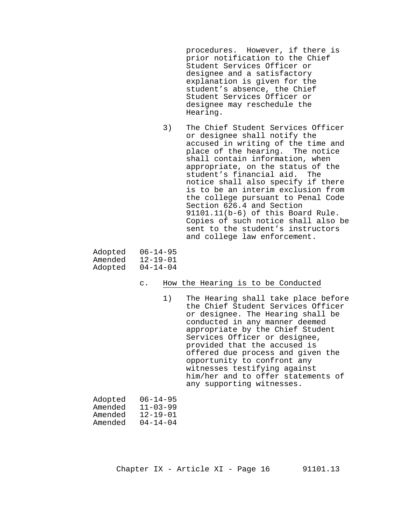procedures. However, if there is prior notification to the Chief Student Services Officer or designee and a satisfactory explanation is given for the student's absence, the Chief Student Services Officer or designee may reschedule the Hearing.

3) The Chief Student Services Officer or designee shall notify the accused in writing of the time and place of the hearing. The notice shall contain information, when appropriate, on the status of the student's financial aid. The notice shall also specify if there is to be an interim exclusion from the college pursuant to Penal Code Section 626.4 and Section 91101.11(b-6) of this Board Rule. Copies of such notice shall also be sent to the student's instructors and college law enforcement.

| Adopted | $06 - 14 - 95$ |
|---------|----------------|
| Amended | $12 - 19 - 01$ |
| Adopted | $04 - 14 - 04$ |

#### c. How the Hearing is to be Conducted

1) The Hearing shall take place before the Chief Student Services Officer or designee. The Hearing shall be conducted in any manner deemed appropriate by the Chief Student Services Officer or designee, provided that the accused is offered due process and given the opportunity to confront any witnesses testifying against him/her and to offer statements of any supporting witnesses.

| Adopted | $06 - 14 - 95$ |
|---------|----------------|
| Amended | $11 - 03 - 99$ |
| Amended | $12 - 19 - 01$ |
| Amended | $04 - 14 - 04$ |
|         |                |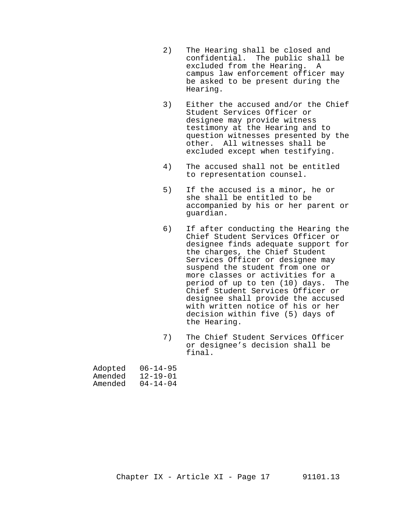- 2) The Hearing shall be closed and confidential. The public shall be excluded from the Hearing. A campus law enforcement officer may be asked to be present during the Hearing.
- 3) Either the accused and/or the Chief Student Services Officer or designee may provide witness testimony at the Hearing and to question witnesses presented by the other. All witnesses shall be excluded except when testifying.
- 4) The accused shall not be entitled to representation counsel.
- 5) If the accused is a minor, he or she shall be entitled to be accompanied by his or her parent or guardian.
- 6) If after conducting the Hearing the Chief Student Services Officer or designee finds adequate support for the charges, the Chief Student Services Officer or designee may suspend the student from one or more classes or activities for a period of up to ten (10) days. The Chief Student Services Officer or designee shall provide the accused with written notice of his or her decision within five (5) days of the Hearing.
- 7) The Chief Student Services Officer or designee's decision shall be final.

| Adopted | $06 - 14 - 95$ |
|---------|----------------|
| Amended | $12 - 19 - 01$ |
| Amended | $04 - 14 - 04$ |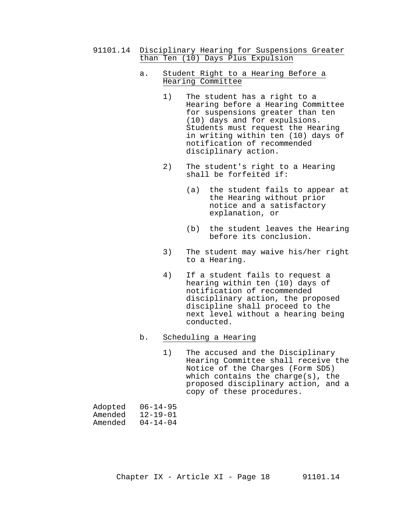91101.14 Disciplinary Hearing for Suspensions Greater than Ten (10) Days Plus Expulsion

#### a. Student Right to a Hearing Before a Hearing Committee

- 1) The student has a right to a Hearing before a Hearing Committee for suspensions greater than ten (10) days and for expulsions. Students must request the Hearing in writing within ten (10) days of notification of recommended disciplinary action.
- 2) The student's right to a Hearing shall be forfeited if:
	- (a) the student fails to appear at the Hearing without prior notice and a satisfactory explanation, or
	- (b) the student leaves the Hearing before its conclusion.
- 3) The student may waive his/her right to a Hearing.
- 4) If a student fails to request a hearing within ten (10) days of notification of recommended disciplinary action, the proposed discipline shall proceed to the next level without a hearing being conducted.

## b. Scheduling a Hearing

1) The accused and the Disciplinary Hearing Committee shall receive the Notice of the Charges (Form SD5) which contains the charge(s), the proposed disciplinary action, and a copy of these procedures.

| Adopted | $06 - 14 - 95$ |
|---------|----------------|
| Amended | $12 - 19 - 01$ |
| Amended | $04 - 14 - 04$ |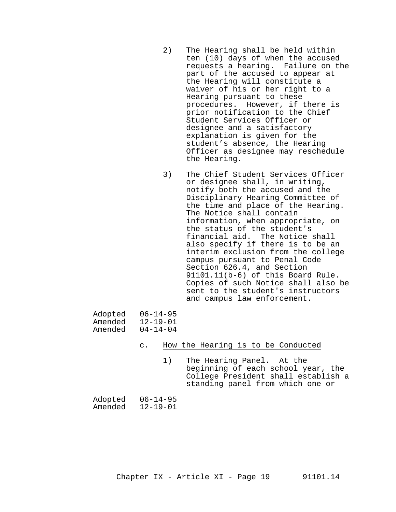- 2) The Hearing shall be held within ten (10) days of when the accused requests a hearing. Failure on the part of the accused to appear at the Hearing will constitute a waiver of his or her right to a Hearing pursuant to these procedures. However, if there is prior notification to the Chief Student Services Officer or designee and a satisfactory explanation is given for the student's absence, the Hearing Officer as designee may reschedule the Hearing.
- 3) The Chief Student Services Officer or designee shall, in writing, notify both the accused and the Disciplinary Hearing Committee of the time and place of the Hearing. The Notice shall contain information, when appropriate, on the status of the student's financial aid. The Notice shall also specify if there is to be an interim exclusion from the college campus pursuant to Penal Code Section 626.4, and Section 91101.11(b-6) of this Board Rule. Copies of such Notice shall also be sent to the student's instructors and campus law enforcement.

| Adopted | $06 - 14 - 95$ |
|---------|----------------|
| Amended | $12 - 19 - 01$ |
| Amended | $04 - 14 - 04$ |

- c. How the Hearing is to be Conducted
	- 1) The Hearing Panel. At the beginning of each school year, the College President shall establish a standing panel from which one or

| Adopted | $06 - 14 - 95$ |
|---------|----------------|
| Amended | $12 - 19 - 01$ |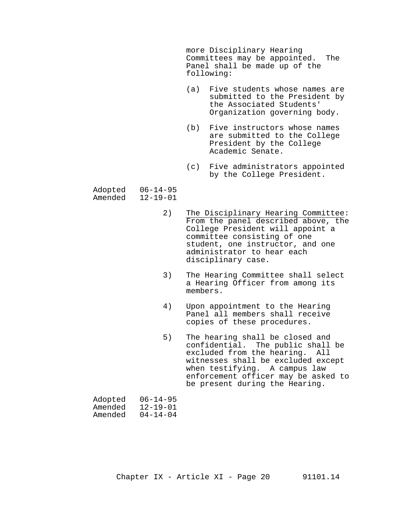more Disciplinary Hearing Committees may be appointed. The Panel shall be made up of the following:

- (a) Five students whose names are submitted to the President by the Associated Students' Organization governing body.
- (b) Five instructors whose names are submitted to the College President by the College Academic Senate.
- (c) Five administrators appointed by the College President.
- Adopted 06-14-95<br>Amended 12-19-01  $12 - 19 - 01$ 
	- 2) The Disciplinary Hearing Committee: From the panel described above, the College President will appoint a committee consisting of one student, one instructor, and one administrator to hear each disciplinary case.
	- 3) The Hearing Committee shall select a Hearing Officer from among its members.
	- 4) Upon appointment to the Hearing Panel all members shall receive copies of these procedures.
	- 5) The hearing shall be closed and confidential. The public shall be excluded from the hearing. All witnesses shall be excluded except when testifying. A campus law enforcement officer may be asked to be present during the Hearing.

| Adopted | $06 - 14 - 95$ |
|---------|----------------|
| Amended | $12 - 19 - 01$ |
| Amended | $04 - 14 - 04$ |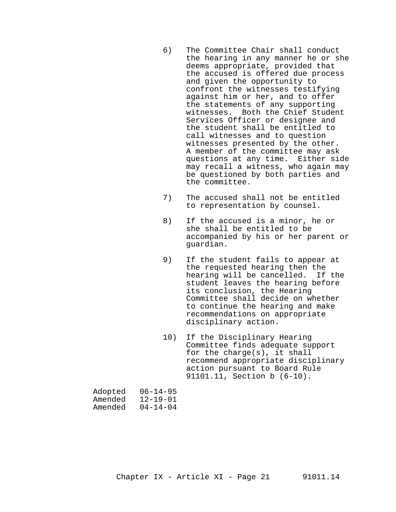- 6) The Committee Chair shall conduct the hearing in any manner he or she deems appropriate, provided that the accused is offered due process and given the opportunity to confront the witnesses testifying against him or her, and to offer the statements of any supporting witnesses. Both the Chief Student Services Officer or designee and the student shall be entitled to call witnesses and to question witnesses presented by the other. A member of the committee may ask questions at any time. Either side may recall a witness, who again may be questioned by both parties and the committee.
- 7) The accused shall not be entitled to representation by counsel.
- 8) If the accused is a minor, he or she shall be entitled to be accompanied by his or her parent or guardian.
- 9) If the student fails to appear at the requested hearing then the hearing will be cancelled. If the student leaves the hearing before its conclusion, the Hearing Committee shall decide on whether to continue the hearing and make recommendations on appropriate disciplinary action.
- 10) If the Disciplinary Hearing Committee finds adequate support for the charge(s), it shall recommend appropriate disciplinary action pursuant to Board Rule 91101.11, Section b (6-10).

| $06 - 14 - 95$ |
|----------------|
| $12 - 19 - 01$ |
| $04 - 14 - 04$ |
|                |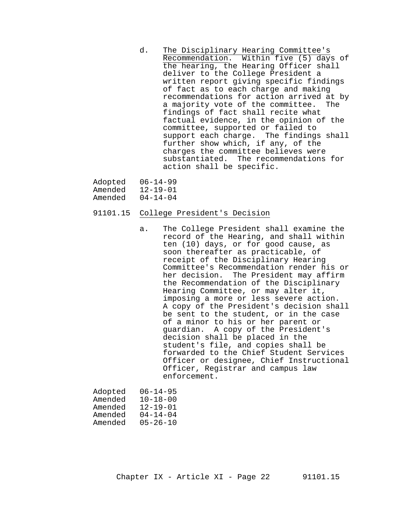d. The Disciplinary Hearing Committee's Recommendation. Within five (5) days of the hearing, the Hearing Officer shall deliver to the College President a written report giving specific findings of fact as to each charge and making recommendations for action arrived at by<br>a majority vote of the committee. The a majority vote of the committee. findings of fact shall recite what factual evidence, in the opinion of the committee, supported or failed to support each charge. The findings shall further show which, if any, of the charges the committee believes were substantiated. The recommendations for action shall be specific.

| Adopted | $06 - 14 - 99$ |
|---------|----------------|
| Amended | $12 - 19 - 01$ |
| Amended | $04 - 14 - 04$ |

- 91101.15 College President's Decision
	- a. The College President shall examine the record of the Hearing, and shall within ten (10) days, or for good cause, as soon thereafter as practicable, of receipt of the Disciplinary Hearing Committee's Recommendation render his or her decision. The President may affirm the Recommendation of the Disciplinary Hearing Committee, or may alter it, imposing a more or less severe action. A copy of the President's decision shall be sent to the student, or in the case of a minor to his or her parent or guardian. A copy of the President's decision shall be placed in the student's file, and copies shall be forwarded to the Chief Student Services Officer or designee, Chief Instructional Officer, Registrar and campus law enforcement.

| Adopted | $06 - 14 - 95$ |
|---------|----------------|
| Amended | $10 - 18 - 00$ |
| Amended | $12 - 19 - 01$ |
| Amended | $04 - 14 - 04$ |
| Amended | $05 - 26 - 10$ |
|         |                |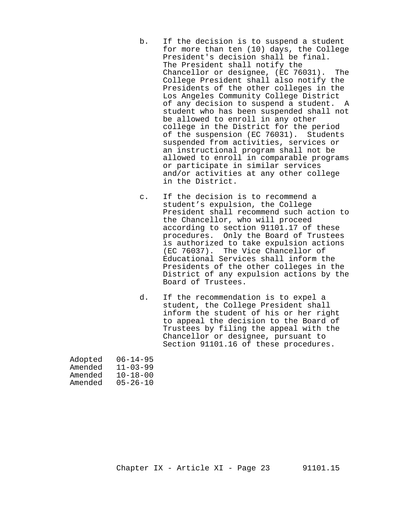- b. If the decision is to suspend a student for more than ten (10) days, the College President's decision shall be final. The President shall notify the Chancellor or designee, (EC 76031). The College President shall also notify the Presidents of the other colleges in the Los Angeles Community College District of any decision to suspend a student. A student who has been suspended shall not be allowed to enroll in any other college in the District for the period of the suspension (EC 76031). Students suspended from activities, services or an instructional program shall not be allowed to enroll in comparable programs or participate in similar services and/or activities at any other college in the District.
- c. If the decision is to recommend a student's expulsion, the College President shall recommend such action to the Chancellor, who will proceed according to section 91101.17 of these procedures. Only the Board of Trustees is authorized to take expulsion actions (EC 76037). The Vice Chancellor of Educational Services shall inform the Presidents of the other colleges in the District of any expulsion actions by the Board of Trustees.
- d. If the recommendation is to expel a student, the College President shall inform the student of his or her right to appeal the decision to the Board of Trustees by filing the appeal with the Chancellor or designee, pursuant to Section 91101.16 of these procedures.

| $06 - 14 - 95$ |
|----------------|
| $11 - 03 - 99$ |
| $10 - 18 - 00$ |
| $05 - 26 - 10$ |
|                |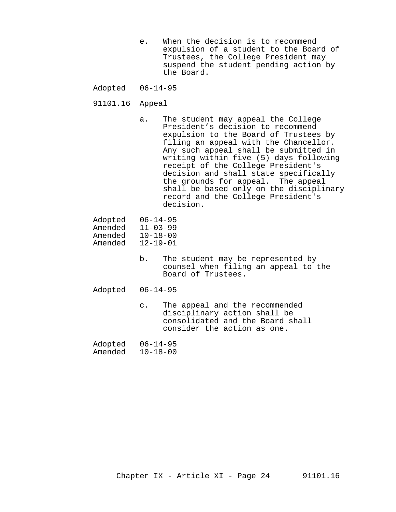- e. When the decision is to recommend expulsion of a student to the Board of Trustees, the College President may suspend the student pending action by the Board.
- Adopted 06-14-95
- 91101.16 Appeal
	- a. The student may appeal the College President's decision to recommend expulsion to the Board of Trustees by filing an appeal with the Chancellor. Any such appeal shall be submitted in writing within five (5) days following receipt of the College President's decision and shall state specifically the grounds for appeal. The appeal shall be based only on the disciplinary record and the College President's decision.

| Adopted | $06 - 14 - 95$ |
|---------|----------------|
| Amended | $11 - 03 - 99$ |
| Amended | $10 - 18 - 00$ |
| Amended | $12 - 19 - 01$ |
|         |                |

b. The student may be represented by counsel when filing an appeal to the Board of Trustees.

Adopted 06-14-95

- c. The appeal and the recommended disciplinary action shall be consolidated and the Board shall consider the action as one.
- Adopted 06-14-95<br>Amended 10-18-00  $10-18-00$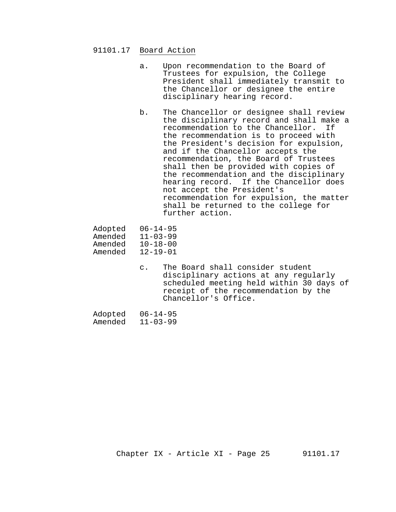#### 91101.17 Board Action

- a. Upon recommendation to the Board of Trustees for expulsion, the College President shall immediately transmit to the Chancellor or designee the entire disciplinary hearing record.
- b. The Chancellor or designee shall review the disciplinary record and shall make a recommendation to the Chancellor. If the recommendation is to proceed with the President's decision for expulsion, and if the Chancellor accepts the recommendation, the Board of Trustees shall then be provided with copies of the recommendation and the disciplinary hearing record. If the Chancellor does not accept the President's recommendation for expulsion, the matter shall be returned to the college for further action.
- Adopted 06-14-95
- Amended 11-03-99<br>Amended 10-18-00
- Amended 10-18-00<br>Amended 12-19-01
- $12 19 01$ 
	- c. The Board shall consider student disciplinary actions at any regularly scheduled meeting held within 30 days of receipt of the recommendation by the Chancellor's Office.

| Adopted | $06 - 14 - 95$ |
|---------|----------------|
| Amended | $11 - 03 - 99$ |

Chapter IX - Article XI - Page 25 91101.17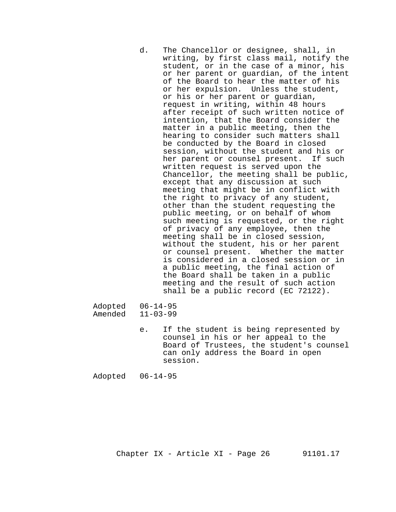d. The Chancellor or designee, shall, in writing, by first class mail, notify the student, or in the case of a minor, his or her parent or guardian, of the intent of the Board to hear the matter of his or her expulsion. Unless the student, or his or her parent or guardian, request in writing, within 48 hours after receipt of such written notice of intention, that the Board consider the matter in a public meeting, then the hearing to consider such matters shall be conducted by the Board in closed session, without the student and his or her parent or counsel present. If such written request is served upon the Chancellor, the meeting shall be public, except that any discussion at such meeting that might be in conflict with the right to privacy of any student, other than the student requesting the public meeting, or on behalf of whom such meeting is requested, or the right of privacy of any employee, then the meeting shall be in closed session, without the student, his or her parent or counsel present. Whether the matter is considered in a closed session or in a public meeting, the final action of the Board shall be taken in a public meeting and the result of such action shall be a public record (EC 72122).

Adopted 06-14-95<br>Amended 11-03-99  $11 - 03 - 99$ 

> e. If the student is being represented by counsel in his or her appeal to the Board of Trustees, the student's counsel can only address the Board in open session.

Adopted 06-14-95

Chapter  $IX - Article XI - Page 26$  91101.17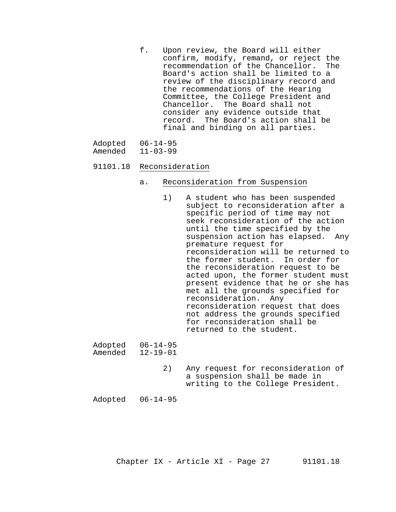- f. Upon review, the Board will either confirm, modify, remand, or reject the recommendation of the Chancellor. The Board's action shall be limited to a review of the disciplinary record and the recommendations of the Hearing Committee, the College President and<br>Chancellor. The Board shall not The Board shall not consider any evidence outside that record. The Board's action shall be final and binding on all parties.
- Adopted 06-14-95<br>Amended 11-03-99

#### $11-03-99$

#### 91101.18 Reconsideration

- a. Reconsideration from Suspension
	- 1) A student who has been suspended subject to reconsideration after a specific period of time may not seek reconsideration of the action until the time specified by the suspension action has elapsed. Any premature request for reconsideration will be returned to the former student. In order for the reconsideration request to be acted upon, the former student must present evidence that he or she has met all the grounds specified for reconsideration. Any reconsideration request that does not address the grounds specified for reconsideration shall be returned to the student.

Adopted 06-14-95<br>Amended 12-19-01 Amended

> 2) Any request for reconsideration of a suspension shall be made in writing to the College President.

Adopted 06-14-95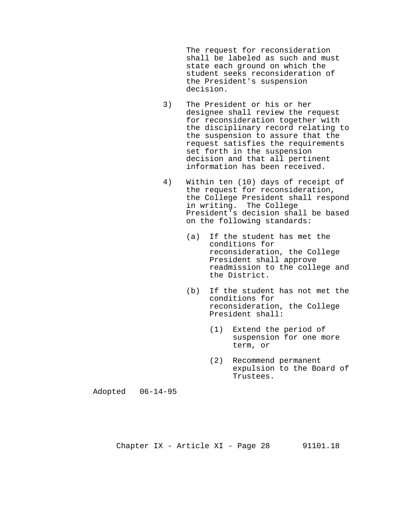The request for reconsideration shall be labeled as such and must state each ground on which the student seeks reconsideration of the President's suspension decision.

- 3) The President or his or her designee shall review the request for reconsideration together with the disciplinary record relating to the suspension to assure that the request satisfies the requirements set forth in the suspension decision and that all pertinent information has been received.
- 4) Within ten (10) days of receipt of the request for reconsideration, the College President shall respond in writing. The College President's decision shall be based on the following standards:
	- (a) If the student has met the conditions for reconsideration, the College President shall approve readmission to the college and the District.
	- (b) If the student has not met the conditions for reconsideration, the College President shall:
		- (1) Extend the period of suspension for one more term, or
		- (2) Recommend permanent expulsion to the Board of Trustees.

Adopted 06-14-95

Chapter IX - Article XI - Page 28 91101.18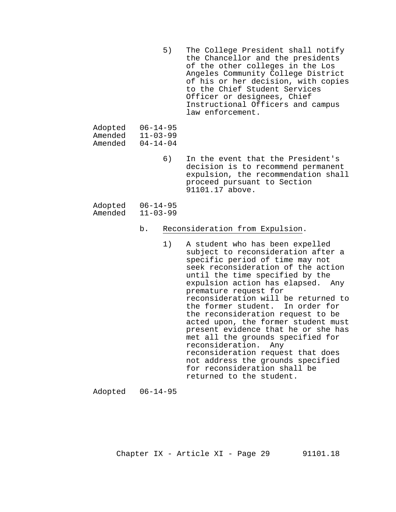5) The College President shall notify the Chancellor and the presidents of the other colleges in the Los Angeles Community College District of his or her decision, with copies to the Chief Student Services Officer or designees, Chief Instructional Officers and campus law enforcement.

| Adopted | $06 - 14 - 95$ |
|---------|----------------|
| Amended | $11 - 03 - 99$ |
| Amended | $04 - 14 - 04$ |

6) In the event that the President's decision is to recommend permanent expulsion, the recommendation shall proceed pursuant to Section 91101.17 above.

| Adopted | $06 - 14 - 95$ |
|---------|----------------|
| Amended | $11 - 03 - 99$ |

#### b. Reconsideration from Expulsion.

1) A student who has been expelled subject to reconsideration after a specific period of time may not seek reconsideration of the action until the time specified by the expulsion action has elapsed. Any premature request for reconsideration will be returned to the former student. In order for the reconsideration request to be acted upon, the former student must present evidence that he or she has met all the grounds specified for reconsideration. Any reconsideration request that does not address the grounds specified for reconsideration shall be returned to the student.

Adopted 06-14-95

Chapter  $IX - Article XI - Page 29$  91101.18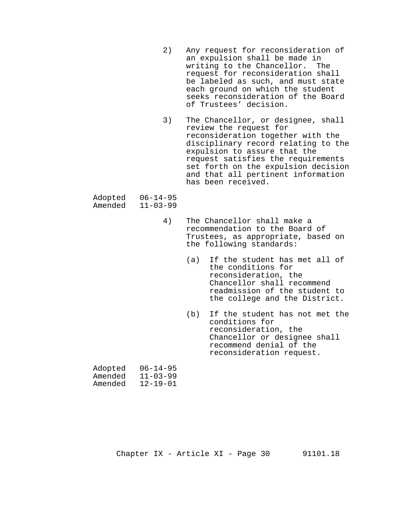- 2) Any request for reconsideration of an expulsion shall be made in writing to the Chancellor. The request for reconsideration shall be labeled as such, and must state each ground on which the student seeks reconsideration of the Board of Trustees' decision.
- 3) The Chancellor, or designee, shall review the request for reconsideration together with the disciplinary record relating to the expulsion to assure that the request satisfies the requirements set forth on the expulsion decision and that all pertinent information has been received.

| Adopted | $06 - 14 - 95$ |
|---------|----------------|
| Amended | $11 - 03 - 99$ |

- 4) The Chancellor shall make a recommendation to the Board of Trustees, as appropriate, based on the following standards:
	- (a) If the student has met all of the conditions for reconsideration, the Chancellor shall recommend readmission of the student to the college and the District.
	- (b) If the student has not met the conditions for reconsideration, the Chancellor or designee shall recommend denial of the reconsideration request.

| Adopted | $06 - 14 - 95$ |
|---------|----------------|
| Amended | $11 - 03 - 99$ |
| Amended | $12 - 19 - 01$ |

Chapter  $IX - Article XI - Page 30$  91101.18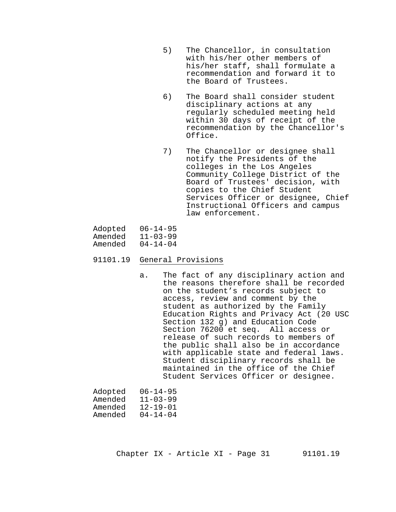- 5) The Chancellor, in consultation with his/her other members of his/her staff, shall formulate a recommendation and forward it to the Board of Trustees.
- 6) The Board shall consider student disciplinary actions at any regularly scheduled meeting held within 30 days of receipt of the recommendation by the Chancellor's Office.
- 7) The Chancellor or designee shall notify the Presidents of the colleges in the Los Angeles Community College District of the Board of Trustees' decision, with copies to the Chief Student Services Officer or designee, Chief Instructional Officers and campus law enforcement.

| Adopted | $06 - 14 - 95$ |
|---------|----------------|
| Amended | $11 - 03 - 99$ |
| Amended | $04 - 14 - 04$ |

- 91101.19 General Provisions
	- a. The fact of any disciplinary action and the reasons therefore shall be recorded on the student's records subject to access, review and comment by the student as authorized by the Family Education Rights and Privacy Act (20 USC Section 132 g) and Education Code Section 76200 et seq. All access or release of such records to members of the public shall also be in accordance with applicable state and federal laws. Student disciplinary records shall be maintained in the office of the Chief Student Services Officer or designee.

| Adopted | $06 - 14 - 95$ |
|---------|----------------|
| Amended | $11 - 03 - 99$ |
| Amended | $12 - 19 - 01$ |
| Amended | $04 - 14 - 04$ |

Chapter IX - Article XI - Page 31 91101.19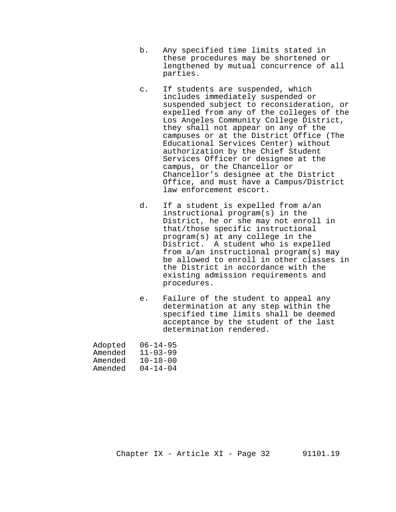- b. Any specified time limits stated in these procedures may be shortened or lengthened by mutual concurrence of all parties.
- c. If students are suspended, which includes immediately suspended or suspended subject to reconsideration, or expelled from any of the colleges of the Los Angeles Community College District, they shall not appear on any of the campuses or at the District Office (The Educational Services Center) without authorization by the Chief Student Services Officer or designee at the campus, or the Chancellor or Chancellor's designee at the District Office, and must have a Campus/District law enforcement escort.
- d. If a student is expelled from a/an instructional program(s) in the District, he or she may not enroll in that/those specific instructional program(s) at any college in the District. A student who is expelled from a/an instructional program(s) may be allowed to enroll in other classes in the District in accordance with the existing admission requirements and procedures.
- e. Failure of the student to appeal any determination at any step within the specified time limits shall be deemed acceptance by the student of the last determination rendered.

| Adopted | $06 - 14 - 95$ |
|---------|----------------|
| Amended | $11 - 03 - 99$ |
| Amended | $10 - 18 - 00$ |
| Amended | $04 - 14 - 04$ |

Chapter IX - Article XI - Page 32 91101.19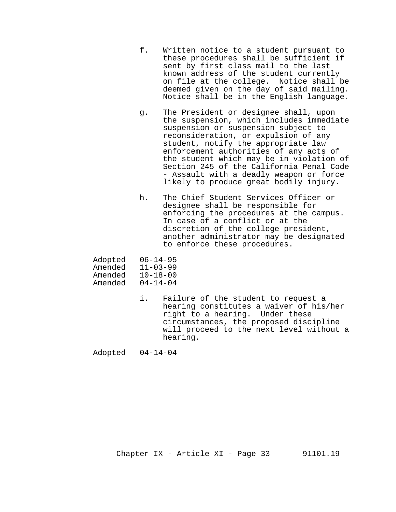- f. Written notice to a student pursuant to these procedures shall be sufficient if sent by first class mail to the last known address of the student currently on file at the college. Notice shall be deemed given on the day of said mailing. Notice shall be in the English language.
- g. The President or designee shall, upon the suspension, which includes immediate suspension or suspension subject to reconsideration, or expulsion of any student, notify the appropriate law enforcement authorities of any acts of the student which may be in violation of Section 245 of the California Penal Code - Assault with a deadly weapon or force likely to produce great bodily injury.
- h. The Chief Student Services Officer or designee shall be responsible for enforcing the procedures at the campus. In case of a conflict or at the discretion of the college president, another administrator may be designated to enforce these procedures.

| Adopted | $06 - 14 - 95$ |
|---------|----------------|
| Amended | $11 - 03 - 99$ |
| Amended | $10 - 18 - 00$ |
| Amended | $04 - 14 - 04$ |

i. Failure of the student to request a hearing constitutes a waiver of his/her right to a hearing. Under these circumstances, the proposed discipline will proceed to the next level without a hearing.

Adopted 04-14-04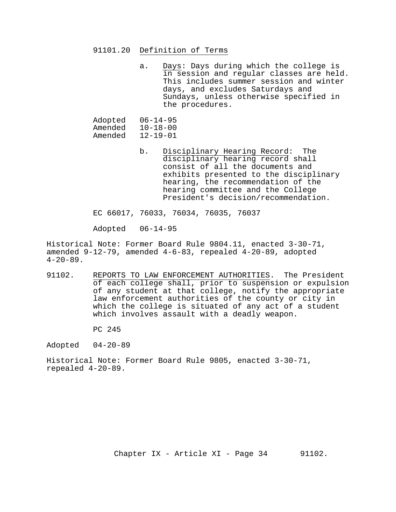#### 91101.20 Definition of Terms

a. Days: Days during which the college is in session and regular classes are held. This includes summer session and winter days, and excludes Saturdays and Sundays, unless otherwise specified in the procedures.

Adopted 06-14-95<br>Amended 10-18-00 Amended 10-18-00<br>Amended 12-19-01 Amended

> b. Disciplinary Hearing Record: The disciplinary hearing record shall consist of all the documents and exhibits presented to the disciplinary hearing, the recommendation of the hearing committee and the College President's decision/recommendation.

EC 66017, 76033, 76034, 76035, 76037

Adopted 06-14-95

Historical Note: Former Board Rule 9804.11, enacted 3-30-71, amended 9-12-79, amended 4-6-83, repealed 4-20-89, adopted  $4-20-89$ .

91102. REPORTS TO LAW ENFORCEMENT AUTHORITIES. The President of each college shall, prior to suspension or expulsion of any student at that college, notify the appropriate law enforcement authorities of the county or city in which the college is situated of any act of a student which involves assault with a deadly weapon.

PC 245

Adopted 04-20-89

Historical Note: Former Board Rule 9805, enacted 3-30-71, repealed 4-20-89.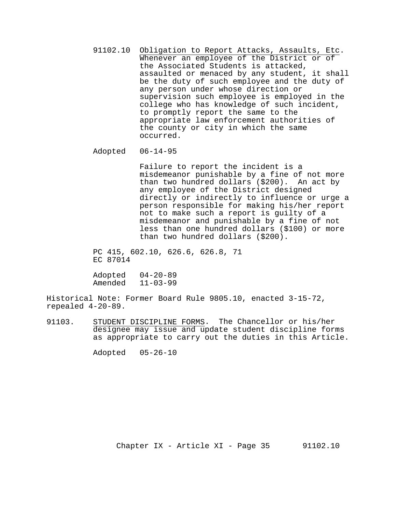91102.10 Obligation to Report Attacks, Assaults, Etc. Whenever an employee of the District or of the Associated Students is attacked, assaulted or menaced by any student, it shall be the duty of such employee and the duty of any person under whose direction or supervision such employee is employed in the college who has knowledge of such incident, to promptly report the same to the appropriate law enforcement authorities of the county or city in which the same occurred.

#### Adopted 06-14-95

Failure to report the incident is a misdemeanor punishable by a fine of not more than two hundred dollars (\$200). An act by any employee of the District designed directly or indirectly to influence or urge a person responsible for making his/her report not to make such a report is guilty of a misdemeanor and punishable by a fine of not less than one hundred dollars (\$100) or more than two hundred dollars (\$200).

PC 415, 602.10, 626.6, 626.8, 71 EC 87014

Adopted 04-20-89 Amended 11-03-99

Historical Note: Former Board Rule 9805.10, enacted 3-15-72, repealed 4-20-89.

91103. STUDENT DISCIPLINE FORMS. The Chancellor or his/her designee may issue and update student discipline forms as appropriate to carry out the duties in this Article.

Adopted 05-26-10

Chapter IX - Article XI - Page 35 91102.10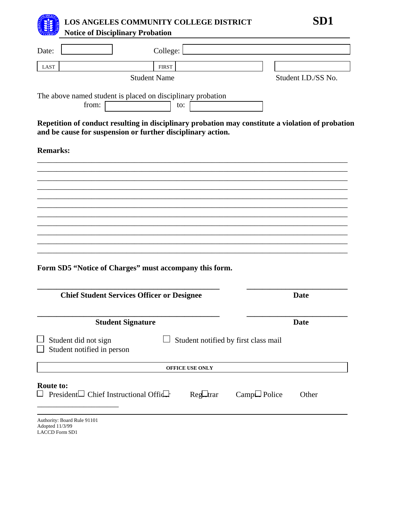**LOS ANGELES COMMUNITY COLLEGE DISTRICT SD1Notice of Disciplinary Probation** 

Date: **Date: College:**  $LAST$  FIRST Student Name Student I.D./SS No. The above named student is placed on disciplinary probation from: to: **Repetition of conduct resulting in disciplinary probation may constitute a violation of probation and be cause for suspension or further disciplinary action. Remarks:**  \_\_\_\_\_\_\_\_\_\_\_\_\_\_\_\_\_\_\_\_\_\_\_\_\_\_\_\_\_\_\_\_\_\_\_\_\_\_\_\_\_\_\_\_\_\_\_\_\_\_\_\_\_\_\_\_\_\_\_\_\_\_\_\_\_\_\_\_\_\_\_\_\_\_\_\_\_\_\_\_ \_\_\_\_\_\_\_\_\_\_\_\_\_\_\_\_\_\_\_\_\_\_\_\_\_\_\_\_\_\_\_\_\_\_\_\_\_\_\_\_\_\_\_\_\_\_\_\_\_\_\_\_\_\_\_\_\_\_\_\_\_\_\_\_\_\_\_\_\_\_\_\_\_\_\_\_\_\_\_\_ \_\_\_\_\_\_\_\_\_\_\_\_\_\_\_\_\_\_\_\_\_\_\_\_\_\_\_\_\_\_\_\_\_\_\_\_\_\_\_\_\_\_\_\_\_\_\_\_\_\_\_\_\_\_\_\_\_\_\_\_\_\_\_\_\_\_\_\_\_\_\_\_\_\_\_\_\_\_\_\_ \_\_\_\_\_\_\_\_\_\_\_\_\_\_\_\_\_\_\_\_\_\_\_\_\_\_\_\_\_\_\_\_\_\_\_\_\_\_\_\_\_\_\_\_\_\_\_\_\_\_\_\_\_\_\_\_\_\_\_\_\_\_\_\_\_\_\_\_\_\_\_\_\_\_\_\_\_\_\_\_ \_\_\_\_\_\_\_\_\_\_\_\_\_\_\_\_\_\_\_\_\_\_\_\_\_\_\_\_\_\_\_\_\_\_\_\_\_\_\_\_\_\_\_\_\_\_\_\_\_\_\_\_\_\_\_\_\_\_\_\_\_\_\_\_\_\_\_\_\_\_\_\_\_\_\_\_\_\_\_\_ \_\_\_\_\_\_\_\_\_\_\_\_\_\_\_\_\_\_\_\_\_\_\_\_\_\_\_\_\_\_\_\_\_\_\_\_\_\_\_\_\_\_\_\_\_\_\_\_\_\_\_\_\_\_\_\_\_\_\_\_\_\_\_\_\_\_\_\_\_\_\_\_\_\_\_\_\_\_\_\_ \_\_\_\_\_\_\_\_\_\_\_\_\_\_\_\_\_\_\_\_\_\_\_\_\_\_\_\_\_\_\_\_\_\_\_\_\_\_\_\_\_\_\_\_\_\_\_\_\_\_\_\_\_\_\_\_\_\_\_\_\_\_\_\_\_\_\_\_\_\_\_\_\_\_\_\_\_\_\_\_ \_\_\_\_\_\_\_\_\_\_\_\_\_\_\_\_\_\_\_\_\_\_\_\_\_\_\_\_\_\_\_\_\_\_\_\_\_\_\_\_\_\_\_\_\_\_\_\_\_\_\_\_\_\_\_\_\_\_\_\_\_\_\_\_\_\_\_\_\_\_\_\_\_\_\_\_\_\_\_\_ \_\_\_\_\_\_\_\_\_\_\_\_\_\_\_\_\_\_\_\_\_\_\_\_\_\_\_\_\_\_\_\_\_\_\_\_\_\_\_\_\_\_\_\_\_\_\_\_\_\_\_\_\_\_\_\_\_\_\_\_\_\_\_\_\_\_\_\_\_\_\_\_\_\_\_\_\_\_\_\_ \_\_\_\_\_\_\_\_\_\_\_\_\_\_\_\_\_\_\_\_\_\_\_\_\_\_\_\_\_\_\_\_\_\_\_\_\_\_\_\_\_\_\_\_\_\_\_\_\_\_\_\_\_\_\_\_\_\_\_\_\_\_\_\_\_\_\_\_\_\_\_\_\_\_\_\_\_\_\_\_ \_\_\_\_\_\_\_\_\_\_\_\_\_\_\_\_\_\_\_\_\_\_\_\_\_\_\_\_\_\_\_\_\_\_\_\_\_\_\_\_\_\_\_\_\_\_\_\_\_\_\_\_\_\_\_\_\_\_\_\_\_\_\_\_\_\_\_\_\_\_\_\_\_\_\_\_\_\_\_\_ **Form SD5 "Notice of Charges" must accompany this form. \_\_\_\_\_\_\_\_\_\_\_\_\_\_\_\_\_\_\_\_\_\_\_\_\_\_\_\_\_\_\_\_\_\_\_\_\_\_\_\_\_\_\_\_\_\_\_ \_\_\_\_\_\_\_\_\_\_\_\_\_\_\_\_\_\_\_\_\_\_\_\_\_\_ Chief Student Services Officer or Designee Date Date \_\_\_\_\_\_\_\_\_\_\_\_\_\_\_\_\_\_\_\_\_\_\_\_\_\_\_\_\_\_\_\_\_\_\_\_\_\_\_\_\_\_\_\_\_\_\_ \_\_\_\_\_\_\_\_\_\_\_\_\_\_\_\_\_\_\_\_\_\_\_\_\_\_ Student Signature Date**  $\Box$  Student did not sign  $\Box$  Student notified by first class mail  $\Box$  Student notified in person **OFFICE USE ONLY Route to:**  $\Box$  President  $\Box$  Chief Instructional Office Registrar Campus Police Other \_\_\_\_\_\_\_\_\_\_\_\_\_\_\_\_\_\_\_\_\_ Authority: Board Rule 91101

Adopted 11/3/99 LACCD Form SD1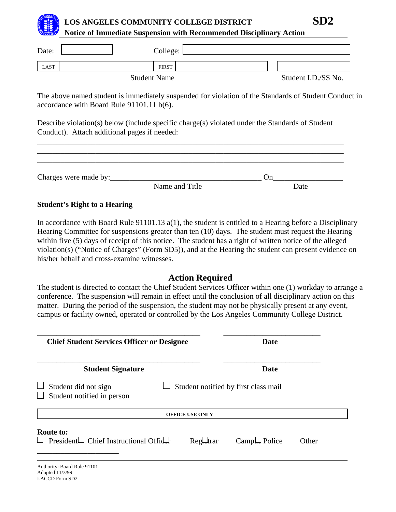

## **LOS ANGELES COMMUNITY COLLEGE DISTRICT**

**Notice of Immediate Suspension with Recommended Disciplinary Action** 

| Date: | College:            |                     |
|-------|---------------------|---------------------|
| LAST  | <b>FIRST</b>        |                     |
|       | <b>Student Name</b> | Student I.D./SS No. |

The above named student is immediately suspended for violation of the Standards of Student Conduct in accordance with Board Rule 91101.11 b(6).

Describe violation(s) below (include specific charge(s) violated under the Standards of Student Conduct). Attach additional pages if needed:

| Charges were made by: |                |      |  |
|-----------------------|----------------|------|--|
|                       | Name and Title | Date |  |

\_\_\_\_\_\_\_\_\_\_\_\_\_\_\_\_\_\_\_\_\_\_\_\_\_\_\_\_\_\_\_\_\_\_\_\_\_\_\_\_\_\_\_\_\_\_\_\_\_\_\_\_\_\_\_\_\_\_\_\_\_\_\_\_\_\_\_\_\_\_\_\_\_\_\_\_\_\_\_

## **Student's Right to a Hearing**

In accordance with Board Rule 91101.13 a(1), the student is entitled to a Hearing before a Disciplinary Hearing Committee for suspensions greater than ten (10) days. The student must request the Hearing within five (5) days of receipt of this notice. The student has a right of written notice of the alleged violation(s) ("Notice of Charges" (Form SD5)), and at the Hearing the student can present evidence on his/her behalf and cross-examine witnesses.

## **Action Required**

The student is directed to contact the Chief Student Services Officer within one (1) workday to arrange a conference. The suspension will remain in effect until the conclusion of all disciplinary action on this matter. During the period of the suspension, the student may not be physically present at any event, campus or facility owned, operated or controlled by the Los Angeles Community College District.

| <b>Chief Student Services Officer or Designee</b>                     | <b>Date</b>                                       |
|-----------------------------------------------------------------------|---------------------------------------------------|
| <b>Student Signature</b>                                              | Date                                              |
| Student did not sign<br>Student notified in person                    | Student notified by first class mail              |
|                                                                       | <b>OFFICE USE ONLY</b>                            |
| <b>Route to:</b><br>President $\Box$ Chief Instructional Offic $\Box$ | $Campl.$ Police<br>Reg <del>ut</del> rar<br>Other |
| Authority: Board Rule 91101<br>Adopted 11/3/99                        |                                                   |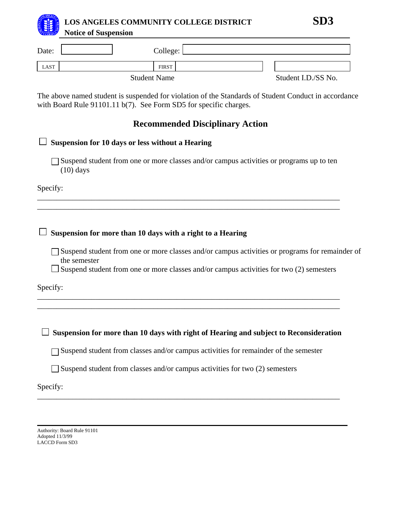

| Date: | College:            |                     |
|-------|---------------------|---------------------|
| LAST  | <b>FIRST</b>        |                     |
|       | <b>Student Name</b> | Student I.D./SS No. |

The above named student is suspended for violation of the Standards of Student Conduct in accordance with Board Rule 91101.11 b(7). See Form SD5 for specific charges.

| <b>Recommended Disciplinary Action</b>                                                                                                                                                                    |
|-----------------------------------------------------------------------------------------------------------------------------------------------------------------------------------------------------------|
| <b>Suspension for 10 days or less without a Hearing</b>                                                                                                                                                   |
| Suspend student from one or more classes and/or campus activities or programs up to ten<br>$(10)$ days                                                                                                    |
| Specify:                                                                                                                                                                                                  |
|                                                                                                                                                                                                           |
| Suspension for more than 10 days with a right to a Hearing                                                                                                                                                |
| Suspend student from one or more classes and/or campus activities or programs for remainder of<br>the semester<br>Suspend student from one or more classes and/or campus activities for two (2) semesters |
| Specify:                                                                                                                                                                                                  |
|                                                                                                                                                                                                           |
| Suspension for more than 10 days with right of Hearing and subject to Reconsideration                                                                                                                     |
| Suspend student from classes and/or campus activities for remainder of the semester                                                                                                                       |
| Suspend student from classes and/or campus activities for two (2) semesters                                                                                                                               |

\_\_\_\_\_\_\_\_\_\_\_\_\_\_\_\_\_\_\_\_\_\_\_\_\_\_\_\_\_\_\_\_\_\_\_\_\_\_\_\_\_\_\_\_\_\_\_\_\_\_\_\_\_\_\_\_\_\_\_\_\_\_\_\_\_\_\_\_\_\_\_\_\_\_\_\_\_\_

Specify:

Authority: Board Rule 91101 Adopted 11/3/99 LACCD Form SD3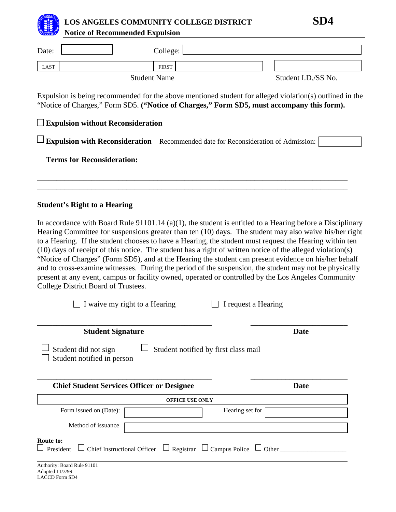

# **LOS ANGELES COMMUNITY COLLEGE DISTRICT SD4**

| <b>EXPRESS</b> | <b>Notice of Recommended Expulsion</b>   |                                                                                                                                                                                                      |                     |
|----------------|------------------------------------------|------------------------------------------------------------------------------------------------------------------------------------------------------------------------------------------------------|---------------------|
| Date:          |                                          | College:                                                                                                                                                                                             |                     |
| <b>LAST</b>    |                                          | <b>FIRST</b>                                                                                                                                                                                         |                     |
|                | <b>Student Name</b>                      |                                                                                                                                                                                                      | Student I.D./SS No. |
|                | $\Box$ Expulsion without Reconsideration | Expulsion is being recommended for the above mentioned student for alleged violation(s) outlined in the<br>"Notice of Charges," Form SD5. ("Notice of Charges," Form SD5, must accompany this form). |                     |
|                |                                          | $\Box$ Expulsion with Reconsideration Recommended date for Reconsideration of Admission:                                                                                                             |                     |
|                | <b>Terms for Reconsideration:</b>        |                                                                                                                                                                                                      |                     |

\_\_\_\_\_\_\_\_\_\_\_\_\_\_\_\_\_\_\_\_\_\_\_\_\_\_\_\_\_\_\_\_\_\_\_\_\_\_\_\_\_\_\_\_\_\_\_\_\_\_\_\_\_\_\_\_\_\_\_\_\_\_\_\_\_\_\_\_\_\_\_\_\_\_\_\_\_\_\_\_ \_\_\_\_\_\_\_\_\_\_\_\_\_\_\_\_\_\_\_\_\_\_\_\_\_\_\_\_\_\_\_\_\_\_\_\_\_\_\_\_\_\_\_\_\_\_\_\_\_\_\_\_\_\_\_\_\_\_\_\_\_\_\_\_\_\_\_\_\_\_\_\_\_\_\_\_\_\_\_\_

## **Student's Right to a Hearing**

In accordance with Board Rule 91101.14 (a)(1), the student is entitled to a Hearing before a Disciplinary Hearing Committee for suspensions greater than ten (10) days. The student may also waive his/her right to a Hearing. If the student chooses to have a Hearing, the student must request the Hearing within ten (10) days of receipt of this notice. The student has a right of written notice of the alleged violation(s) "Notice of Charges" (Form SD5), and at the Hearing the student can present evidence on his/her behalf and to cross-examine witnesses. During the period of the suspension, the student may not be physically present at any event, campus or facility owned, operated or controlled by the Los Angeles Community College District Board of Trustees.

| I waive my right to a Hearing                                                                                          | I request a Hearing |
|------------------------------------------------------------------------------------------------------------------------|---------------------|
| <b>Student Signature</b>                                                                                               | <b>Date</b>         |
| Student did not sign<br>Student notified by first class mail<br>Student notified in person                             |                     |
| <b>Chief Student Services Officer or Designee</b>                                                                      | <b>Date</b>         |
| <b>OFFICE USE ONLY</b>                                                                                                 |                     |
| Form issued on (Date):                                                                                                 | Hearing set for     |
| Method of issuance                                                                                                     |                     |
| Route to:<br>$\Box$ Chief Instructional Officer $\Box$ Registrar $\Box$ Campus Police $\Box$ Other<br>$\Box$ President |                     |
| Authority: Board Rule 91101<br>Adopted 11/3/99<br><b>LACCD Form SD4</b>                                                |                     |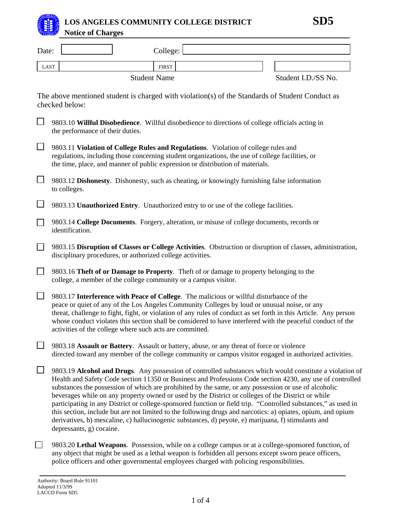

## **LOS ANGELES COMMUNITY COLLEGE DISTRICT SD5Notice of Charges**

| Date:       |                                                                                                                                                                                                                                                                                                                                                                                                                                                                                        | College:            |                                                                                                                                                                                                                                                                                                                                                                                                                                                                                                                                                                                                                                                                                                                                                                              |
|-------------|----------------------------------------------------------------------------------------------------------------------------------------------------------------------------------------------------------------------------------------------------------------------------------------------------------------------------------------------------------------------------------------------------------------------------------------------------------------------------------------|---------------------|------------------------------------------------------------------------------------------------------------------------------------------------------------------------------------------------------------------------------------------------------------------------------------------------------------------------------------------------------------------------------------------------------------------------------------------------------------------------------------------------------------------------------------------------------------------------------------------------------------------------------------------------------------------------------------------------------------------------------------------------------------------------------|
| <b>LAST</b> |                                                                                                                                                                                                                                                                                                                                                                                                                                                                                        | <b>FIRST</b>        |                                                                                                                                                                                                                                                                                                                                                                                                                                                                                                                                                                                                                                                                                                                                                                              |
|             |                                                                                                                                                                                                                                                                                                                                                                                                                                                                                        | <b>Student Name</b> | Student I.D./SS No.                                                                                                                                                                                                                                                                                                                                                                                                                                                                                                                                                                                                                                                                                                                                                          |
|             | checked below:                                                                                                                                                                                                                                                                                                                                                                                                                                                                         |                     | The above mentioned student is charged with violation(s) of the Standards of Student Conduct as                                                                                                                                                                                                                                                                                                                                                                                                                                                                                                                                                                                                                                                                              |
|             | the performance of their duties.                                                                                                                                                                                                                                                                                                                                                                                                                                                       |                     | 9803.10 Willful Disobedience. Willful disobedience to directions of college officials acting in                                                                                                                                                                                                                                                                                                                                                                                                                                                                                                                                                                                                                                                                              |
|             | 9803.11 Violation of College Rules and Regulations. Violation of college rules and<br>regulations, including those concerning student organizations, the use of college facilities, or<br>the time, place, and manner of public expression or distribution of materials.                                                                                                                                                                                                               |                     |                                                                                                                                                                                                                                                                                                                                                                                                                                                                                                                                                                                                                                                                                                                                                                              |
|             | to colleges.                                                                                                                                                                                                                                                                                                                                                                                                                                                                           |                     | 9803.12 Dishonesty. Dishonesty, such as cheating, or knowingly furnishing false information                                                                                                                                                                                                                                                                                                                                                                                                                                                                                                                                                                                                                                                                                  |
|             | 9803.13 Unauthorized Entry. Unauthorized entry to or use of the college facilities.                                                                                                                                                                                                                                                                                                                                                                                                    |                     |                                                                                                                                                                                                                                                                                                                                                                                                                                                                                                                                                                                                                                                                                                                                                                              |
|             | identification.                                                                                                                                                                                                                                                                                                                                                                                                                                                                        |                     | 9803.14 College Documents. Forgery, alteration, or misuse of college documents, records or                                                                                                                                                                                                                                                                                                                                                                                                                                                                                                                                                                                                                                                                                   |
|             | disciplinary procedures, or authorized college activities.                                                                                                                                                                                                                                                                                                                                                                                                                             |                     | 9803.15 Disruption of Classes or College Activities. Obstruction or disruption of classes, administration,                                                                                                                                                                                                                                                                                                                                                                                                                                                                                                                                                                                                                                                                   |
|             | 9803.16 Theft of or Damage to Property. Theft of or damage to property belonging to the<br>college, a member of the college community or a campus visitor.                                                                                                                                                                                                                                                                                                                             |                     |                                                                                                                                                                                                                                                                                                                                                                                                                                                                                                                                                                                                                                                                                                                                                                              |
|             | 9803.17 Interference with Peace of College. The malicious or willful disturbance of the<br>peace or quiet of any of the Los Angeles Community Colleges by loud or unusual noise, or any<br>threat, challenge to fight, fight, or violation of any rules of conduct as set forth in this Article. Any person<br>whose conduct violates this section shall be considered to have interfered with the peaceful conduct of the<br>activities of the college where such acts are committed. |                     |                                                                                                                                                                                                                                                                                                                                                                                                                                                                                                                                                                                                                                                                                                                                                                              |
|             | 9803.18 Assault or Battery. Assault or battery, abuse, or any threat of force or violence                                                                                                                                                                                                                                                                                                                                                                                              |                     | directed toward any member of the college community or campus visitor engaged in authorized activities.                                                                                                                                                                                                                                                                                                                                                                                                                                                                                                                                                                                                                                                                      |
|             | depressants, g) cocaine.                                                                                                                                                                                                                                                                                                                                                                                                                                                               |                     | 9803.19 Alcohol and Drugs. Any possession of controlled substances which would constitute a violation of<br>Health and Safety Code section 11350 or Business and Professions Code section 4230, any use of controlled<br>substances the possession of which are prohibited by the same, or any possession or use of alcoholic<br>beverages while on any property owned or used by the District or colleges of the District or while<br>participating in any District or college-sponsored function or field trip. "Controlled substances," as used in<br>this section, include but are not limited to the following drugs and narcotics: a) opiates, opium, and opium<br>derivatives, b) mescaline, c) hallucinogenic substances, d) peyote, e) marijuana, f) stimulants and |
|             |                                                                                                                                                                                                                                                                                                                                                                                                                                                                                        |                     | 9803.20 Lethal Weapons. Possession, while on a college campus or at a college-sponsored function, of                                                                                                                                                                                                                                                                                                                                                                                                                                                                                                                                                                                                                                                                         |

any object that might be used as a lethal weapon is forbidden all persons except sworn peace officers,

police officers and other governmental employees charged with policing responsibilities.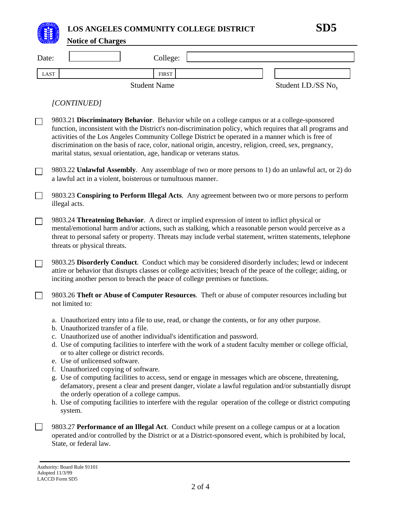**LOS ANGELES COMMUNITY COLLEGE DISTRICT SD5** 

|             | <b>Notice of Charges</b>                                                                                                                                                                                                                                                                                                                                                                            |              |                                                                                                                                                                                                                                                                                                                                                                                                                                               |
|-------------|-----------------------------------------------------------------------------------------------------------------------------------------------------------------------------------------------------------------------------------------------------------------------------------------------------------------------------------------------------------------------------------------------------|--------------|-----------------------------------------------------------------------------------------------------------------------------------------------------------------------------------------------------------------------------------------------------------------------------------------------------------------------------------------------------------------------------------------------------------------------------------------------|
| Date:       |                                                                                                                                                                                                                                                                                                                                                                                                     | College:     |                                                                                                                                                                                                                                                                                                                                                                                                                                               |
| <b>LAST</b> | <b>Student Name</b>                                                                                                                                                                                                                                                                                                                                                                                 | <b>FIRST</b> | Student I.D./SS No.                                                                                                                                                                                                                                                                                                                                                                                                                           |
|             | [CONTINUED]                                                                                                                                                                                                                                                                                                                                                                                         |              |                                                                                                                                                                                                                                                                                                                                                                                                                                               |
| $\Box$      | 9803.21 Discriminatory Behavior. Behavior while on a college campus or at a college-sponsored<br>activities of the Los Angeles Community College District be operated in a manner which is free of<br>discrimination on the basis of race, color, national origin, ancestry, religion, creed, sex, pregnancy,<br>marital status, sexual orientation, age, handicap or veterans status.              |              | function, inconsistent with the District's non-discrimination policy, which requires that all programs and                                                                                                                                                                                                                                                                                                                                    |
|             | a lawful act in a violent, boisterous or tumultuous manner.                                                                                                                                                                                                                                                                                                                                         |              | 9803.22 Unlawful Assembly. Any assemblage of two or more persons to 1) do an unlawful act, or 2) do                                                                                                                                                                                                                                                                                                                                           |
| $\Box$      | illegal acts.                                                                                                                                                                                                                                                                                                                                                                                       |              | 9803.23 Conspiring to Perform Illegal Acts. Any agreement between two or more persons to perform                                                                                                                                                                                                                                                                                                                                              |
| $\Box$      | 9803.24 Threatening Behavior. A direct or implied expression of intent to inflict physical or<br>threats or physical threats.                                                                                                                                                                                                                                                                       |              | mental/emotional harm and/or actions, such as stalking, which a reasonable person would perceive as a<br>threat to personal safety or property. Threats may include verbal statement, written statements, telephone                                                                                                                                                                                                                           |
|             | inciting another person to breach the peace of college premises or functions.                                                                                                                                                                                                                                                                                                                       |              | 9803.25 Disorderly Conduct. Conduct which may be considered disorderly includes; lewd or indecent<br>attire or behavior that disrupts classes or college activities; breach of the peace of the college; aiding, or                                                                                                                                                                                                                           |
|             | not limited to:                                                                                                                                                                                                                                                                                                                                                                                     |              | 9803.26 Theft or Abuse of Computer Resources. Theft or abuse of computer resources including but                                                                                                                                                                                                                                                                                                                                              |
|             | a. Unauthorized entry into a file to use, read, or change the contents, or for any other purpose.<br>b. Unauthorized transfer of a file.<br>c. Unauthorized use of another individual's identification and password.<br>or to alter college or district records.<br>e. Use of unlicensed software.<br>f. Unauthorized copying of software.<br>the orderly operation of a college campus.<br>system. |              | d. Use of computing facilities to interfere with the work of a student faculty member or college official,<br>g. Use of computing facilities to access, send or engage in messages which are obscene, threatening,<br>defamatory, present a clear and present danger, violate a lawful regulation and/or substantially disrupt<br>h. Use of computing facilities to interfere with the regular operation of the college or district computing |
|             |                                                                                                                                                                                                                                                                                                                                                                                                     |              | 9803.27 Performance of an Illegal Act. Conduct while present on a college campus or at a location<br>operated and/or controlled by the District or at a District-sponsored event, which is prohibited by local,                                                                                                                                                                                                                               |

State, or federal law.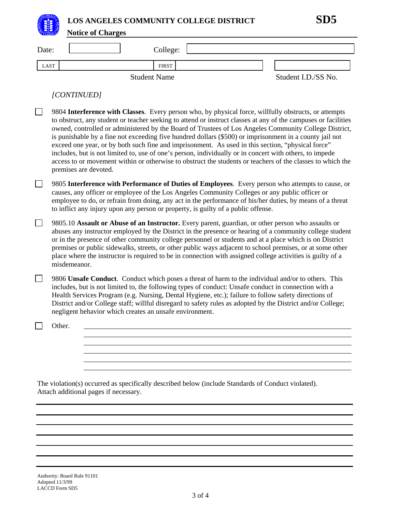OS ANGELES  **LOS ANGELES COMMUNITY COLLEGE DISTRICT SD5** 

**Notice of Charges**

| Date: | College:            |                     |
|-------|---------------------|---------------------|
| LAST  | FIRST               |                     |
|       | <b>Student Name</b> | Student I.D./SS No. |

*[CONTINUED]* 

| 9804 Interference with Classes. Every person who, by physical force, willfully obstructs, or attempts<br>to obstruct, any student or teacher seeking to attend or instruct classes at any of the campuses or facilities<br>owned, controlled or administered by the Board of Trustees of Los Angeles Community College District,<br>is punishable by a fine not exceeding five hundred dollars (\$500) or imprisonment in a county jail not<br>exceed one year, or by both such fine and imprisonment. As used in this section, "physical force"<br>includes, but is not limited to, use of one's person, individually or in concert with others, to impede<br>access to or movement within or otherwise to obstruct the students or teachers of the classes to which the<br>premises are devoted. |  |
|----------------------------------------------------------------------------------------------------------------------------------------------------------------------------------------------------------------------------------------------------------------------------------------------------------------------------------------------------------------------------------------------------------------------------------------------------------------------------------------------------------------------------------------------------------------------------------------------------------------------------------------------------------------------------------------------------------------------------------------------------------------------------------------------------|--|
| 9805 Interference with Performance of Duties of Employees. Every person who attempts to cause, or<br>causes, any officer or employee of the Los Angeles Community Colleges or any public officer or<br>employee to do, or refrain from doing, any act in the performance of his/her duties, by means of a threat<br>to inflict any injury upon any person or property, is guilty of a public offense.                                                                                                                                                                                                                                                                                                                                                                                              |  |
| 9805.10 Assault or Abuse of an Instructor. Every parent, guardian, or other person who assaults or<br>abuses any instructor employed by the District in the presence or hearing of a community college student<br>or in the presence of other community college personnel or students and at a place which is on District<br>premises or public sidewalks, streets, or other public ways adjacent to school premises, or at some other<br>place where the instructor is required to be in connection with assigned college activities is guilty of a<br>misdemeanor.                                                                                                                                                                                                                               |  |
| 9806 Unsafe Conduct. Conduct which poses a threat of harm to the individual and/or to others. This<br>includes, but is not limited to, the following types of conduct: Unsafe conduct in connection with a<br>Health Services Program (e.g. Nursing, Dental Hygiene, etc.); failure to follow safety directions of<br>District and/or College staff; willful disregard to safety rules as adopted by the District and/or College;<br>negligent behavior which creates an unsafe environment.                                                                                                                                                                                                                                                                                                       |  |
| Other.                                                                                                                                                                                                                                                                                                                                                                                                                                                                                                                                                                                                                                                                                                                                                                                             |  |
| The violation(s) occurred as specifically described below (include Standards of Conduct violated).                                                                                                                                                                                                                                                                                                                                                                                                                                                                                                                                                                                                                                                                                                 |  |

Attach additional pages if necessary.